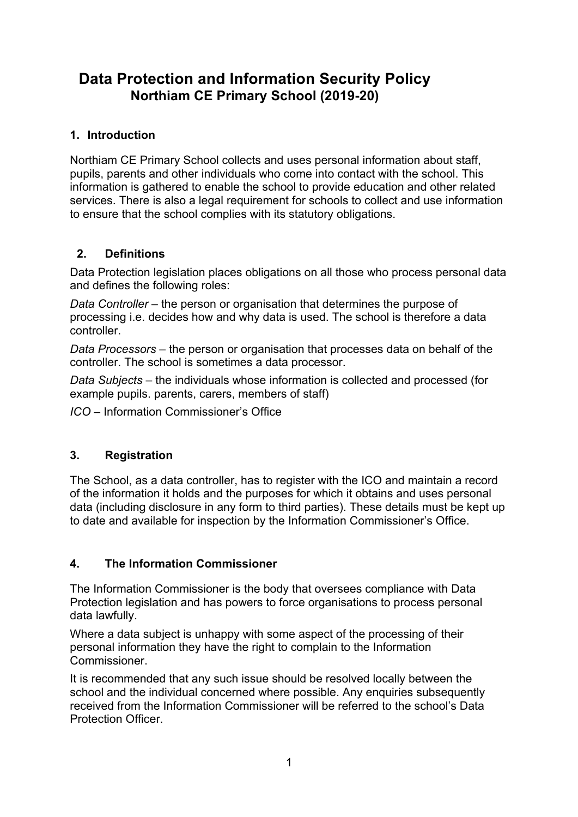# **Data Protection and Information Security Policy Northiam CE Primary School (2019-20)**

# **1. Introduction**

Northiam CE Primary School collects and uses personal information about staff, pupils, parents and other individuals who come into contact with the school. This information is gathered to enable the school to provide education and other related services. There is also a legal requirement for schools to collect and use information to ensure that the school complies with its statutory obligations.

### **2. Definitions**

Data Protection legislation places obligations on all those who process personal data and defines the following roles:

*Data Controller* – the person or organisation that determines the purpose of processing i.e. decides how and why data is used. The school is therefore a data controller.

*Data Processors* – the person or organisation that processes data on behalf of the controller. The school is sometimes a data processor.

*Data Subjects* – the individuals whose information is collected and processed (for example pupils. parents, carers, members of staff)

*ICO –* Information Commissioner's Office

### **3. Registration**

The School, as a data controller, has to register with the ICO and maintain a record of the information it holds and the purposes for which it obtains and uses personal data (including disclosure in any form to third parties). These details must be kept up to date and available for inspection by the Information Commissioner's Office.

### **4. The Information Commissioner**

The Information Commissioner is the body that oversees compliance with Data Protection legislation and has powers to force organisations to process personal data lawfully.

Where a data subject is unhappy with some aspect of the processing of their personal information they have the right to complain to the Information Commissioner.

It is recommended that any such issue should be resolved locally between the school and the individual concerned where possible. Any enquiries subsequently received from the Information Commissioner will be referred to the school's Data Protection Officer.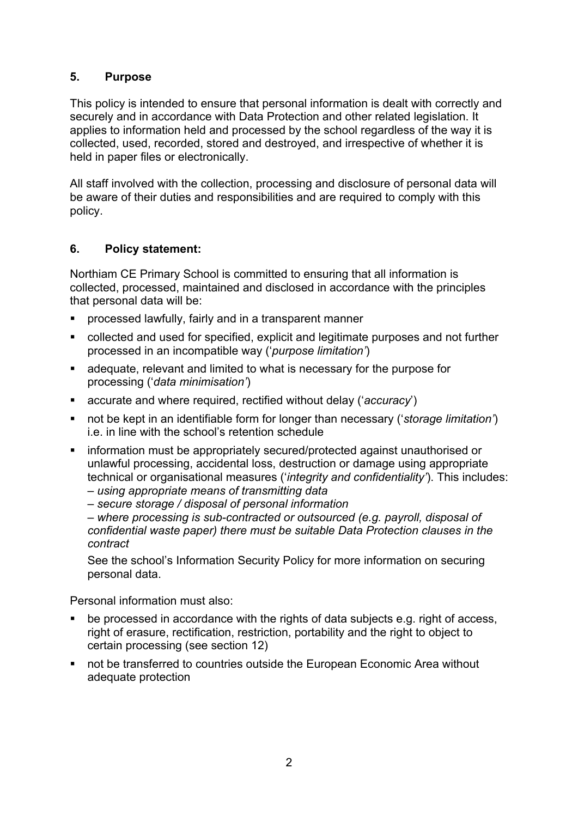## **5. Purpose**

This policy is intended to ensure that personal information is dealt with correctly and securely and in accordance with Data Protection and other related legislation. It applies to information held and processed by the school regardless of the way it is collected, used, recorded, stored and destroyed, and irrespective of whether it is held in paper files or electronically.

All staff involved with the collection, processing and disclosure of personal data will be aware of their duties and responsibilities and are required to comply with this policy.

# **6. Policy statement:**

Northiam CE Primary School is committed to ensuring that all information is collected, processed, maintained and disclosed in accordance with the principles that personal data will be:

- ! processed lawfully, fairly and in a transparent manner
- ! collected and used for specified, explicit and legitimate purposes and not further processed in an incompatible way ('*purpose limitation'*)
- ! adequate, relevant and limited to what is necessary for the purpose for processing ('*data minimisation'*)
- ! accurate and where required, rectified without delay ('*accuracy*')
- ! not be kept in an identifiable form for longer than necessary ('*storage limitation'*) i.e. in line with the school's retention schedule
- **EXEDED** information must be appropriately secured/protected against unauthorised or unlawful processing, accidental loss, destruction or damage using appropriate technical or organisational measures ('*integrity and confidentiality'*). This includes: – *using appropriate means of transmitting data*
	- *secure storage / disposal of personal information*

– *where processing is sub-contracted or outsourced (e.g. payroll, disposal of confidential waste paper) there must be suitable Data Protection clauses in the contract*

See the school's Information Security Policy for more information on securing personal data.

Personal information must also:

- be processed in accordance with the rights of data subjects e.g. right of access, right of erasure, rectification, restriction, portability and the right to object to certain processing (see section 12)
- ! not be transferred to countries outside the European Economic Area without adequate protection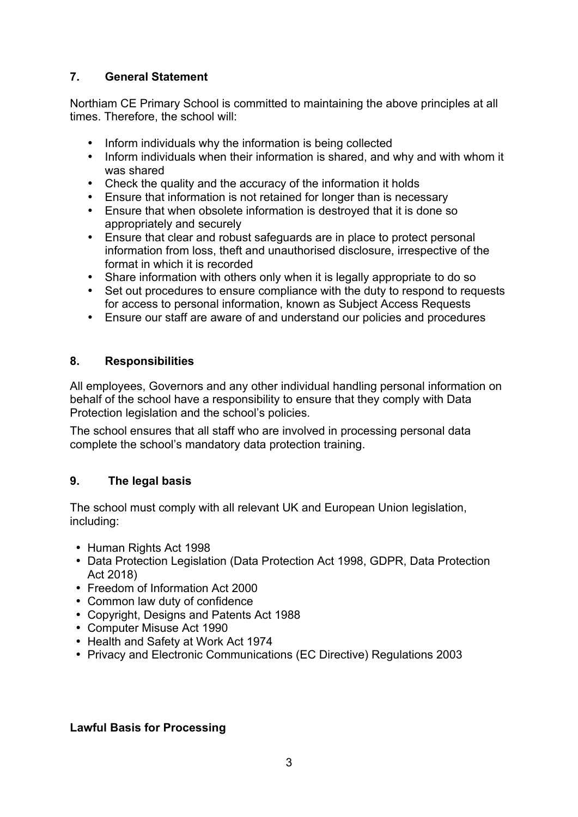# **7. General Statement**

Northiam CE Primary School is committed to maintaining the above principles at all times. Therefore, the school will:

- Inform individuals why the information is being collected
- Inform individuals when their information is shared, and why and with whom it was shared
- Check the quality and the accuracy of the information it holds
- Ensure that information is not retained for longer than is necessary
- Ensure that when obsolete information is destroyed that it is done so appropriately and securely
- Ensure that clear and robust safeguards are in place to protect personal information from loss, theft and unauthorised disclosure, irrespective of the format in which it is recorded
- Share information with others only when it is legally appropriate to do so
- Set out procedures to ensure compliance with the duty to respond to requests for access to personal information, known as Subject Access Requests
- Ensure our staff are aware of and understand our policies and procedures

### **8. Responsibilities**

All employees, Governors and any other individual handling personal information on behalf of the school have a responsibility to ensure that they comply with Data Protection legislation and the school's policies.

The school ensures that all staff who are involved in processing personal data complete the school's mandatory data protection training.

### **9. The legal basis**

The school must comply with all relevant UK and European Union legislation, including:

- Human Rights Act 1998
- Data Protection Legislation (Data Protection Act 1998, GDPR, Data Protection Act 2018)
- Freedom of Information Act 2000
- Common law duty of confidence
- Copyright, Designs and Patents Act 1988
- Computer Misuse Act 1990
- Health and Safety at Work Act 1974
- Privacy and Electronic Communications (EC Directive) Regulations 2003

### **Lawful Basis for Processing**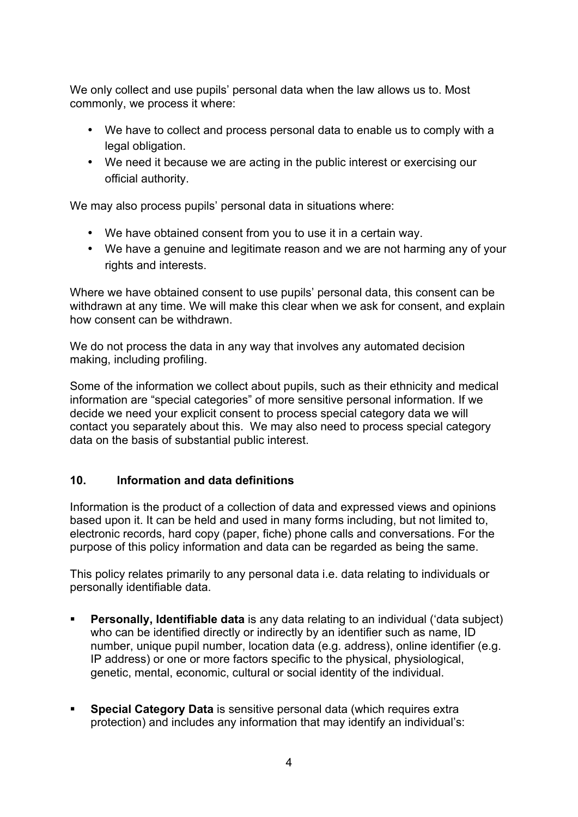We only collect and use pupils' personal data when the law allows us to. Most commonly, we process it where:

- We have to collect and process personal data to enable us to comply with a legal obligation.
- We need it because we are acting in the public interest or exercising our official authority.

We may also process pupils' personal data in situations where:

- We have obtained consent from you to use it in a certain way.
- We have a genuine and legitimate reason and we are not harming any of your rights and interests.

Where we have obtained consent to use pupils' personal data, this consent can be withdrawn at any time. We will make this clear when we ask for consent, and explain how consent can be withdrawn.

We do not process the data in any way that involves any automated decision making, including profiling.

Some of the information we collect about pupils, such as their ethnicity and medical information are "special categories" of more sensitive personal information. If we decide we need your explicit consent to process special category data we will contact you separately about this. We may also need to process special category data on the basis of substantial public interest.

### **10. Information and data definitions**

Information is the product of a collection of data and expressed views and opinions based upon it. It can be held and used in many forms including, but not limited to, electronic records, hard copy (paper, fiche) phone calls and conversations. For the purpose of this policy information and data can be regarded as being the same.

This policy relates primarily to any personal data i.e. data relating to individuals or personally identifiable data.

- ! **Personally, Identifiable data** is any data relating to an individual ('data subject) who can be identified directly or indirectly by an identifier such as name, ID number, unique pupil number, location data (e.g. address), online identifier (e.g. IP address) or one or more factors specific to the physical, physiological, genetic, mental, economic, cultural or social identity of the individual.
- ! **Special Category Data** is sensitive personal data (which requires extra protection) and includes any information that may identify an individual's: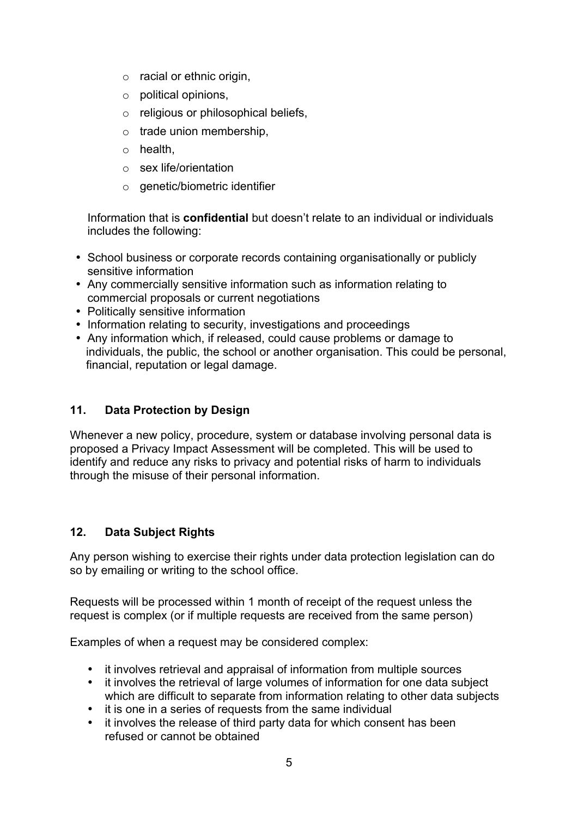- o racial or ethnic origin,
- o political opinions,
- o religious or philosophical beliefs,
- $\circ$  trade union membership,
- o health,
- o sex life/orientation
- o genetic/biometric identifier

Information that is **confidential** but doesn't relate to an individual or individuals includes the following:

- School business or corporate records containing organisationally or publicly sensitive information
- Any commercially sensitive information such as information relating to commercial proposals or current negotiations
- Politically sensitive information
- Information relating to security, investigations and proceedings
- Any information which, if released, could cause problems or damage to individuals, the public, the school or another organisation. This could be personal, financial, reputation or legal damage.

### **11. Data Protection by Design**

Whenever a new policy, procedure, system or database involving personal data is proposed a Privacy Impact Assessment will be completed. This will be used to identify and reduce any risks to privacy and potential risks of harm to individuals through the misuse of their personal information.

#### **12. Data Subject Rights**

Any person wishing to exercise their rights under data protection legislation can do so by emailing or writing to the school office.

Requests will be processed within 1 month of receipt of the request unless the request is complex (or if multiple requests are received from the same person)

Examples of when a request may be considered complex:

- it involves retrieval and appraisal of information from multiple sources
- it involves the retrieval of large volumes of information for one data subject which are difficult to separate from information relating to other data subjects
- it is one in a series of requests from the same individual<br>• it involves the release of third party data for which conse
- it involves the release of third party data for which consent has been refused or cannot be obtained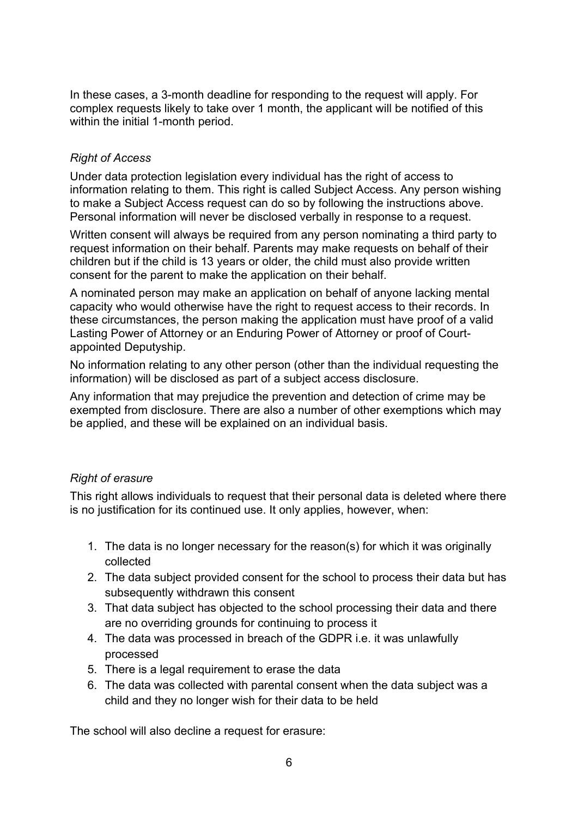In these cases, a 3-month deadline for responding to the request will apply. For complex requests likely to take over 1 month, the applicant will be notified of this within the initial 1-month period.

### *Right of Access*

Under data protection legislation every individual has the right of access to information relating to them. This right is called Subject Access. Any person wishing to make a Subject Access request can do so by following the instructions above. Personal information will never be disclosed verbally in response to a request.

Written consent will always be required from any person nominating a third party to request information on their behalf. Parents may make requests on behalf of their children but if the child is 13 years or older, the child must also provide written consent for the parent to make the application on their behalf.

A nominated person may make an application on behalf of anyone lacking mental capacity who would otherwise have the right to request access to their records. In these circumstances, the person making the application must have proof of a valid Lasting Power of Attorney or an Enduring Power of Attorney or proof of Courtappointed Deputyship.

No information relating to any other person (other than the individual requesting the information) will be disclosed as part of a subject access disclosure.

Any information that may prejudice the prevention and detection of crime may be exempted from disclosure. There are also a number of other exemptions which may be applied, and these will be explained on an individual basis.

#### *Right of erasure*

This right allows individuals to request that their personal data is deleted where there is no justification for its continued use. It only applies, however, when:

- 1. The data is no longer necessary for the reason(s) for which it was originally collected
- 2. The data subject provided consent for the school to process their data but has subsequently withdrawn this consent
- 3. That data subject has objected to the school processing their data and there are no overriding grounds for continuing to process it
- 4. The data was processed in breach of the GDPR i.e. it was unlawfully processed
- 5. There is a legal requirement to erase the data
- 6. The data was collected with parental consent when the data subject was a child and they no longer wish for their data to be held

The school will also decline a request for erasure: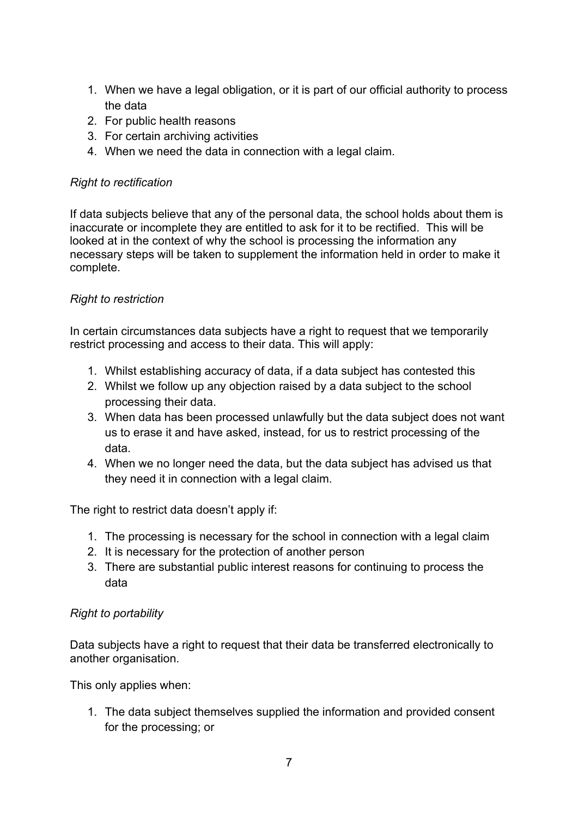- 1. When we have a legal obligation, or it is part of our official authority to process the data
- 2. For public health reasons
- 3. For certain archiving activities
- 4. When we need the data in connection with a legal claim.

### *Right to rectification*

If data subjects believe that any of the personal data, the school holds about them is inaccurate or incomplete they are entitled to ask for it to be rectified. This will be looked at in the context of why the school is processing the information any necessary steps will be taken to supplement the information held in order to make it complete.

# *Right to restriction*

In certain circumstances data subjects have a right to request that we temporarily restrict processing and access to their data. This will apply:

- 1. Whilst establishing accuracy of data, if a data subject has contested this
- 2. Whilst we follow up any objection raised by a data subject to the school processing their data.
- 3. When data has been processed unlawfully but the data subject does not want us to erase it and have asked, instead, for us to restrict processing of the data.
- 4. When we no longer need the data, but the data subject has advised us that they need it in connection with a legal claim.

The right to restrict data doesn't apply if:

- 1. The processing is necessary for the school in connection with a legal claim
- 2. It is necessary for the protection of another person
- 3. There are substantial public interest reasons for continuing to process the data

### *Right to portability*

Data subjects have a right to request that their data be transferred electronically to another organisation.

This only applies when:

1. The data subject themselves supplied the information and provided consent for the processing; or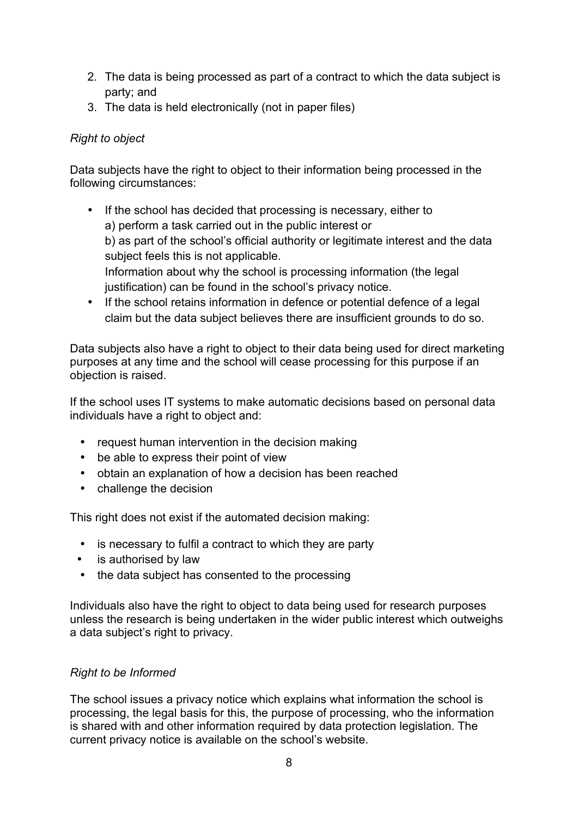- 2. The data is being processed as part of a contract to which the data subject is party; and
- 3. The data is held electronically (not in paper files)

# *Right to object*

Data subjects have the right to object to their information being processed in the following circumstances:

- If the school has decided that processing is necessary, either to a) perform a task carried out in the public interest or b) as part of the school's official authority or legitimate interest and the data subject feels this is not applicable. Information about why the school is processing information (the legal justification) can be found in the school's privacy notice.
- If the school retains information in defence or potential defence of a legal claim but the data subject believes there are insufficient grounds to do so.

Data subjects also have a right to object to their data being used for direct marketing purposes at any time and the school will cease processing for this purpose if an objection is raised.

If the school uses IT systems to make automatic decisions based on personal data individuals have a right to object and:

- request human intervention in the decision making
- be able to express their point of view
- obtain an explanation of how a decision has been reached
- challenge the decision

This right does not exist if the automated decision making:

- is necessary to fulfil a contract to which they are party
- is authorised by law
- the data subject has consented to the processing

Individuals also have the right to object to data being used for research purposes unless the research is being undertaken in the wider public interest which outweighs a data subject's right to privacy.

### *Right to be Informed*

The school issues a privacy notice which explains what information the school is processing, the legal basis for this, the purpose of processing, who the information is shared with and other information required by data protection legislation. The current privacy notice is available on the school's website.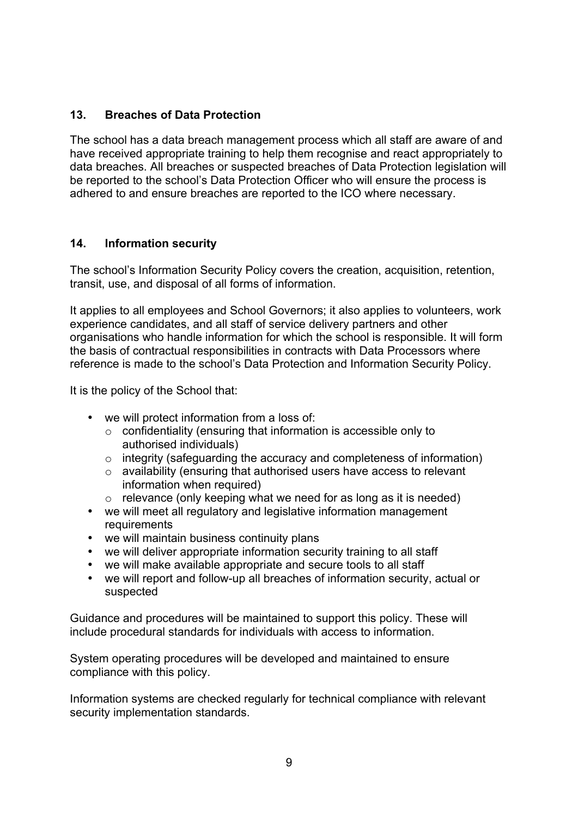### **13. Breaches of Data Protection**

The school has a data breach management process which all staff are aware of and have received appropriate training to help them recognise and react appropriately to data breaches. All breaches or suspected breaches of Data Protection legislation will be reported to the school's Data Protection Officer who will ensure the process is adhered to and ensure breaches are reported to the ICO where necessary.

### **14. Information security**

The school's Information Security Policy covers the creation, acquisition, retention, transit, use, and disposal of all forms of information.

It applies to all employees and School Governors; it also applies to volunteers, work experience candidates, and all staff of service delivery partners and other organisations who handle information for which the school is responsible. It will form the basis of contractual responsibilities in contracts with Data Processors where reference is made to the school's Data Protection and Information Security Policy.

It is the policy of the School that:

- we will protect information from a loss of:
	- o confidentiality (ensuring that information is accessible only to authorised individuals)
	- o integrity (safeguarding the accuracy and completeness of information)
	- o availability (ensuring that authorised users have access to relevant information when required)
	- $\circ$  relevance (only keeping what we need for as long as it is needed)
- we will meet all regulatory and legislative information management requirements
- we will maintain business continuity plans
- we will deliver appropriate information security training to all staff
- we will make available appropriate and secure tools to all staff
- we will report and follow-up all breaches of information security, actual or suspected

Guidance and procedures will be maintained to support this policy. These will include procedural standards for individuals with access to information.

System operating procedures will be developed and maintained to ensure compliance with this policy.

Information systems are checked regularly for technical compliance with relevant security implementation standards.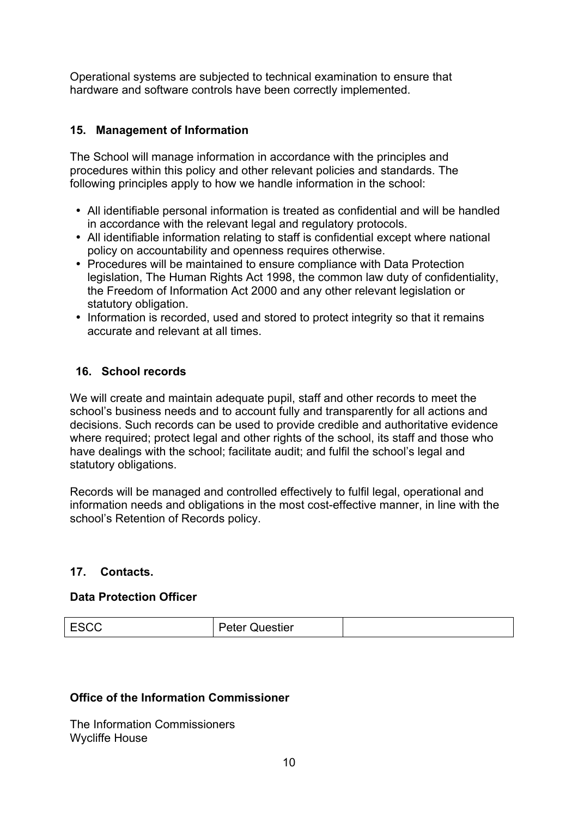Operational systems are subjected to technical examination to ensure that hardware and software controls have been correctly implemented.

### **15. Management of Information**

The School will manage information in accordance with the principles and procedures within this policy and other relevant policies and standards. The following principles apply to how we handle information in the school:

- All identifiable personal information is treated as confidential and will be handled in accordance with the relevant legal and regulatory protocols.
- All identifiable information relating to staff is confidential except where national policy on accountability and openness requires otherwise.
- Procedures will be maintained to ensure compliance with Data Protection legislation, The Human Rights Act 1998, the common law duty of confidentiality, the Freedom of Information Act 2000 and any other relevant legislation or statutory obligation.
- Information is recorded, used and stored to protect integrity so that it remains accurate and relevant at all times.

### **16. School records**

We will create and maintain adequate pupil, staff and other records to meet the school's business needs and to account fully and transparently for all actions and decisions. Such records can be used to provide credible and authoritative evidence where required; protect legal and other rights of the school, its staff and those who have dealings with the school; facilitate audit; and fulfil the school's legal and statutory obligations.

Records will be managed and controlled effectively to fulfil legal, operational and information needs and obligations in the most cost-effective manner, in line with the school's Retention of Records policy.

### **17. Contacts.**

#### **Data Protection Officer**

| ıestier<br>. |  |
|--------------|--|
|              |  |

### **Office of the Information Commissioner**

The Information Commissioners Wycliffe House